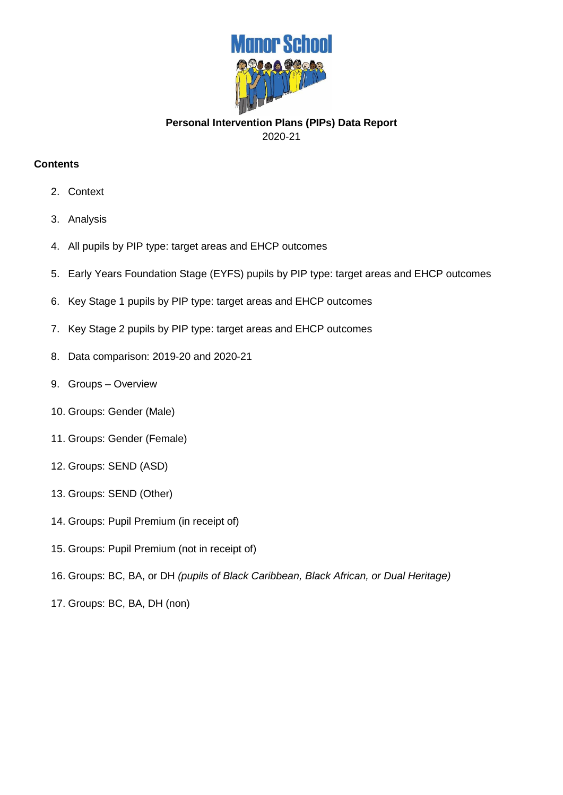

**Personal Intervention Plans (PIPs) Data Report** 2020-21

### **Contents**

- 2. Context
- 3. Analysis
- 4. All pupils by PIP type: target areas and EHCP outcomes
- 5. Early Years Foundation Stage (EYFS) pupils by PIP type: target areas and EHCP outcomes
- 6. Key Stage 1 pupils by PIP type: target areas and EHCP outcomes
- 7. Key Stage 2 pupils by PIP type: target areas and EHCP outcomes
- 8. Data comparison: 2019-20 and 2020-21
- 9. Groups Overview
- 10. Groups: Gender (Male)
- 11. Groups: Gender (Female)
- 12. Groups: SEND (ASD)
- 13. Groups: SEND (Other)
- 14. Groups: Pupil Premium (in receipt of)
- 15. Groups: Pupil Premium (not in receipt of)
- 16. Groups: BC, BA, or DH *(pupils of Black Caribbean, Black African, or Dual Heritage)*
- 17. Groups: BC, BA, DH (non)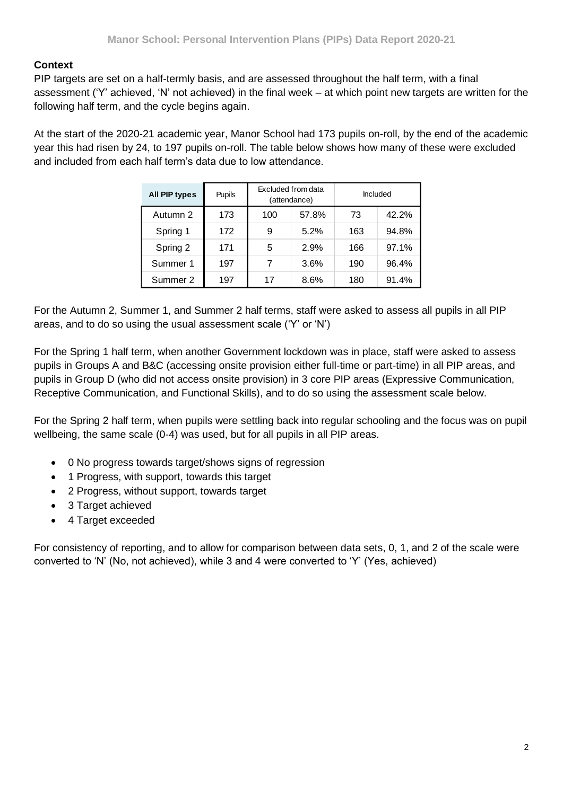## **Context**

PIP targets are set on a half-termly basis, and are assessed throughout the half term, with a final assessment ('Y' achieved, 'N' not achieved) in the final week – at which point new targets are written for the following half term, and the cycle begins again.

At the start of the 2020-21 academic year, Manor School had 173 pupils on-roll, by the end of the academic year this had risen by 24, to 197 pupils on-roll. The table below shows how many of these were excluded and included from each half term's data due to low attendance.

| All PIP types | <b>Pupils</b> |     | Excluded from data<br>(attendance) | Included |       |
|---------------|---------------|-----|------------------------------------|----------|-------|
| Autumn 2      | 173           | 100 | 57.8%                              | 73       | 42.2% |
| Spring 1      | 172           | 9   | 5.2%                               | 163      | 94.8% |
| Spring 2      | 171           | 5   | 2.9%                               | 166      | 97.1% |
| Summer 1      | 197           | 7   | 3.6%                               | 190      | 96.4% |
| Summer 2      | 197           | 17  | 8.6%                               | 180      | 91.4% |

For the Autumn 2, Summer 1, and Summer 2 half terms, staff were asked to assess all pupils in all PIP areas, and to do so using the usual assessment scale ('Y' or 'N')

For the Spring 1 half term, when another Government lockdown was in place, staff were asked to assess pupils in Groups A and B&C (accessing onsite provision either full-time or part-time) in all PIP areas, and pupils in Group D (who did not access onsite provision) in 3 core PIP areas (Expressive Communication, Receptive Communication, and Functional Skills), and to do so using the assessment scale below.

For the Spring 2 half term, when pupils were settling back into regular schooling and the focus was on pupil wellbeing, the same scale (0-4) was used, but for all pupils in all PIP areas.

- 0 No progress towards target/shows signs of regression
- 1 Progress, with support, towards this target
- 2 Progress, without support, towards target
- 3 Target achieved
- 4 Target exceeded

For consistency of reporting, and to allow for comparison between data sets, 0, 1, and 2 of the scale were converted to 'N' (No, not achieved), while 3 and 4 were converted to 'Y' (Yes, achieved)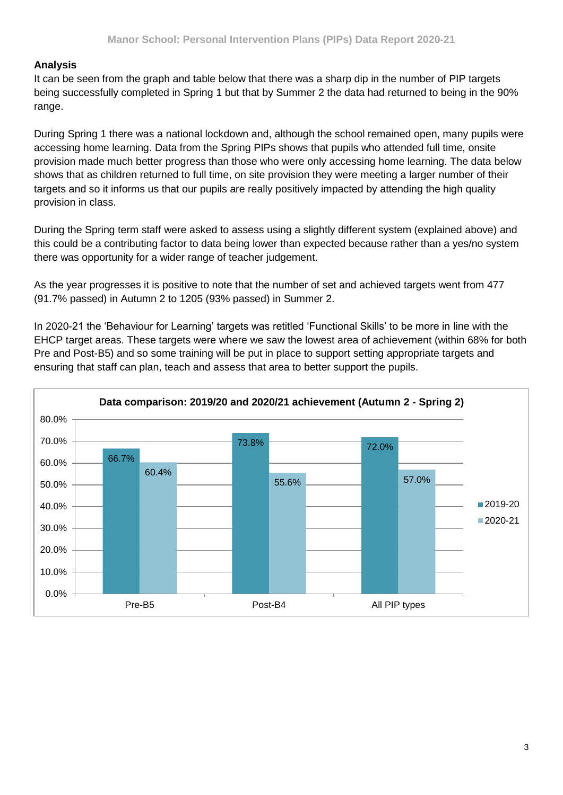## **Analysis**

It can be seen from the graph and table below that there was a sharp dip in the number of PIP targets being successfully completed in Spring 1 but that by Summer 2 the data had returned to being in the 90% range.

During Spring 1 there was a national lockdown and, although the school remained open, many pupils were accessing home learning. Data from the Spring PIPs shows that pupils who attended full time, onsite provision made much better progress than those who were only accessing home learning. The data below shows that as children returned to full time, on site provision they were meeting a larger number of their targets and so it informs us that our pupils are really positively impacted by attending the high quality provision in class.

During the Spring term staff were asked to assess using a slightly different system (explained above) and this could be a contributing factor to data being lower than expected because rather than a yes/no system there was opportunity for a wider range of teacher judgement.

As the year progresses it is positive to note that the number of set and achieved targets went from 477 (91.7% passed) in Autumn 2 to 1205 (93% passed) in Summer 2.

In 2020-21 the 'Behaviour for Learning' targets was retitled 'Functional Skills' to be more in line with the EHCP target areas. These targets were where we saw the lowest area of achievement (within 68% for both Pre and Post-B5) and so some training will be put in place to support setting appropriate targets and ensuring that staff can plan, teach and assess that area to better support the pupils.

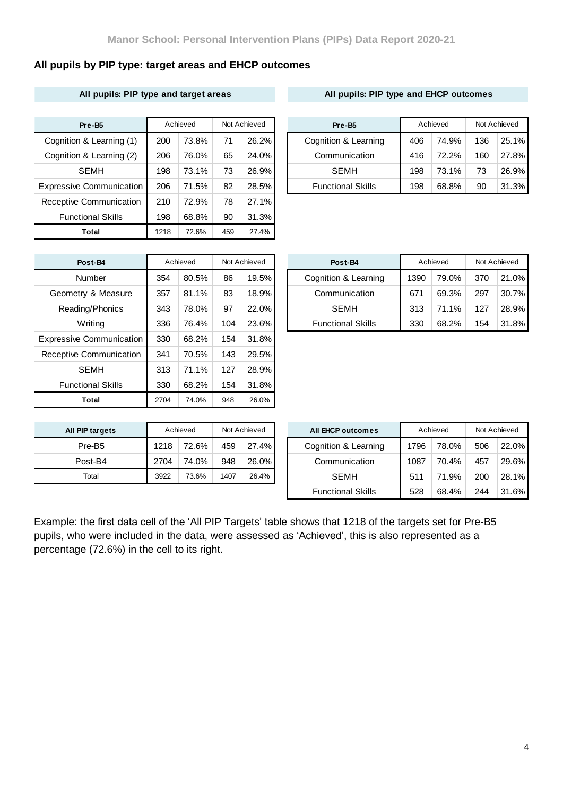## **All pupils by PIP type: target areas and EHCP outcomes**

### **All pupils: PIP type and target areas All pupils: PIP type and EHCP outcomes**

| Pre-B5                          |      | Achieved |     | Not Achieved |  | Pre-B <sub>5</sub>       |     | Achieved | Not Achieved |       |
|---------------------------------|------|----------|-----|--------------|--|--------------------------|-----|----------|--------------|-------|
| Cognition & Learning (1)        | 200  | 73.8%    | 71  | $26.2\%$     |  | Cognition & Learning     |     | 74.9%    | 136          | 25.1% |
| Cognition & Learning (2)        | 206  | 76.0%    | 65  | 24.0%        |  | Communication            | 416 | 72.2%    | 160          | 27.8% |
| <b>SEMH</b>                     | 198  | 73.1%    | 73  | 26.9%        |  | <b>SEMH</b>              | 198 | 73.1%    | 73           | 26.9% |
| <b>Expressive Communication</b> | 206  | 71.5%    | 82  | 28.5%        |  | <b>Functional Skills</b> | 198 | 68.8%    | 90           | 31.3% |
| Receptive Communication         | 210  | 72.9%    | 78  | 27.1%        |  |                          |     |          |              |       |
| <b>Functional Skills</b>        | 198  | 68.8%    | 90  | 31.3%        |  |                          |     |          |              |       |
| Total                           | 1218 | 72.6%    | 459 | 27.4%        |  |                          |     |          |              |       |

| Pre-B5                   |     | Achieved |    | Not Achieved |  | Pre-B <sub>5</sub>       | Achieved |       | Not Achieved |          |
|--------------------------|-----|----------|----|--------------|--|--------------------------|----------|-------|--------------|----------|
| Cognition & Learning (1) | 200 | 73.8%    | 71 | 26.2%        |  | Cognition & Learning     | 406      | 74.9% | 136          | $25.1\%$ |
| Cognition & Learning (2) | 206 | 76.0%    | 65 | 24.0%        |  | Communication            | 416      | 72.2% | 160          | 27.8%    |
| <b>SEMH</b>              | 198 | 73.1%    | 73 | 26.9%        |  | <b>SEMH</b>              | 198      | 73.1% | 73           | 26.9%    |
| xpressive Communication  | 206 | 71.5%    | 82 | 28.5%        |  | <b>Functional Skills</b> | 198      | 68.8% | 90           | 31.3%    |

| Post-B4                         |      | Achieved |     | Not Achieved | Post-B4             |
|---------------------------------|------|----------|-----|--------------|---------------------|
| Number                          | 354  | 80.5%    | 86  | 19.5%        | Cognition & Le      |
| Geometry & Measure              | 357  | 81.1%    | 83  | 18.9%        | Communica           |
| Reading/Phonics                 | 343  | 78.0%    | 97  | 22.0%        | <b>SEMH</b>         |
| <b>Writing</b>                  | 336  | 76.4%    | 104 | 23.6%        | <b>Functional S</b> |
| <b>Expressive Communication</b> | 330  | 68.2%    | 154 | 31.8%        |                     |
| Receptive Communication         | 341  | 70.5%    | 143 | 29.5%        |                     |
| <b>SEMH</b>                     | 313  | 71.1%    | 127 | 28.9%        |                     |
| <b>Functional Skills</b>        | 330  | 68.2%    | 154 | 31.8%        |                     |
| Total                           | 2704 | 74.0%    | 948 | 26.0%        |                     |

| Post-B4            |     | Achieved | Not Achieved |       | Achieved<br>Post-B4 |                          |      | Not Achieved |     |       |
|--------------------|-----|----------|--------------|-------|---------------------|--------------------------|------|--------------|-----|-------|
| Number             | 354 | 80.5%    | 86           | 19.5% |                     | Cognition & Learning     | 1390 | 79.0%        | 370 | 21.0% |
| Geometry & Measure | 357 | 81.1%    | 83           | 18.9% |                     | Communication            |      | 69.3%        | 297 | 30.7% |
| Reading/Phonics    | 343 | 78.0%    | 97           | 22.0% |                     | <b>SEMH</b>              | 313  | 71.1%        | 127 | 28.9% |
| Writing            | 336 | 76.4%    | 104          | 23.6% |                     | <b>Functional Skills</b> | 330  | 68.2%        | 154 | 31.8% |

| All PIP targets    |      | Achieved |      | Not Achieved | All EHCP outcomes   |
|--------------------|------|----------|------|--------------|---------------------|
| Pre-B <sub>5</sub> | 1218 | 72.6%    | 459  | $27.4\%$     | Cognition & Learnir |
| Post-B4            | 2704 | 74.0%    | 948  | $26.0\%$     | Communication       |
| Total              | 3922 | 73.6%    | 1407 | 26.4%        | <b>SEMH</b>         |

| <b>PIP targets</b> | Achieved<br>Not Achieved |       | All EHCP outcomes |          | Achieved                 | Not Achieved |       |     |          |
|--------------------|--------------------------|-------|-------------------|----------|--------------------------|--------------|-------|-----|----------|
| Pre-B <sub>5</sub> | 1218                     | 72.6% | 459               | $27.4\%$ | Cognition & Learning     | 1796         | 78.0% | 506 | $22.0\%$ |
| Post-B4            | 2704                     | 74.0% | 948               | $26.0\%$ | Communication            |              | 70.4% | 457 | 29.6%    |
| Total              | 3922                     | 73.6% | 1407              | 26.4%    | <b>SEMH</b>              | 511          | 71.9% | 200 | 28.1%    |
|                    |                          |       |                   |          | <b>Functional Skills</b> | 528          | 68.4% | 244 | $31.6\%$ |

Example: the first data cell of the 'All PIP Targets' table shows that 1218 of the targets set for Pre-B5 pupils, who were included in the data, were assessed as 'Achieved', this is also represented as a percentage (72.6%) in the cell to its right.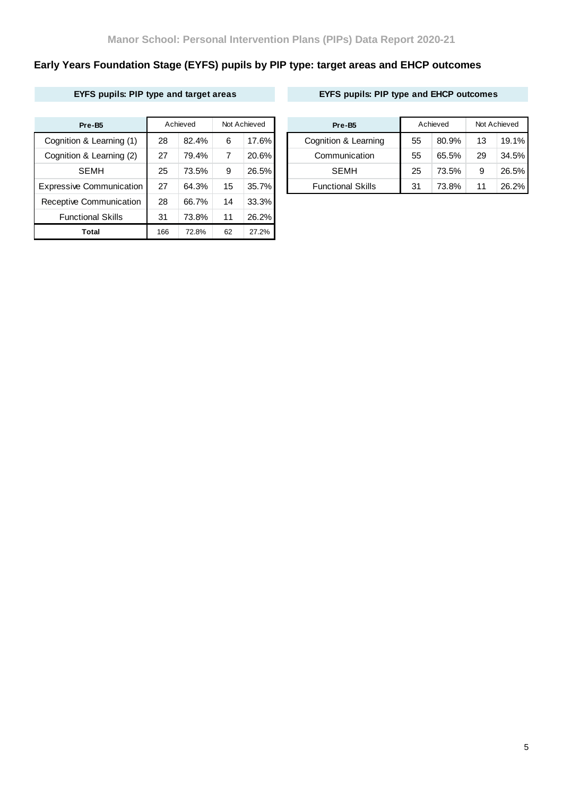# **Early Years Foundation Stage (EYFS) pupils by PIP type: target areas and EHCP outcomes**

## **EYFS pupils: PIP type and target areas EYFS pupils: PIP type and EHCP outcomes**

| Pre-B <sub>5</sub>              |     | Achieved |    | Not Achieved |  | Pre-B <sub>5</sub>       | Achieved |       | Not Achieved |       |
|---------------------------------|-----|----------|----|--------------|--|--------------------------|----------|-------|--------------|-------|
| Cognition & Learning (1)        | 28  | 82.4%    | 6  | $17.6\%$     |  | Cognition & Learning     |          | 80.9% | 13           | 19.1% |
| Cognition & Learning (2)        | 27  | 79.4%    | 7  | 20.6%        |  | Communication            | 55       | 65.5% | 29           | 34.5% |
| <b>SEMH</b>                     | 25  | 73.5%    | 9  | 26.5%        |  | <b>SEMH</b>              | 25       | 73.5% | 9            | 26.5% |
| <b>Expressive Communication</b> | 27  | 64.3%    | 15 | 35.7%        |  | <b>Functional Skills</b> | 31       | 73.8% | 11           | 26.2% |
| Receptive Communication         | 28  | 66.7%    | 14 | 33.3%        |  |                          |          |       |              |       |
| <b>Functional Skills</b>        | 31  | 73.8%    | 11 | 26.2%        |  |                          |          |       |              |       |
| <b>Total</b>                    | 166 | 72.8%    | 62 | 27.2%        |  |                          |          |       |              |       |

| Pre-B <sub>5</sub>       |    | Achieved | Not Achieved |          |  | Pre-B <sub>5</sub>       | Achieved |       | Not Achieved |       |
|--------------------------|----|----------|--------------|----------|--|--------------------------|----------|-------|--------------|-------|
| Cognition & Learning (1) | 28 | 82.4%    | 6            | 17.6%    |  | Cognition & Learning     | 55       | 80.9% | 13           | 19.1% |
| Cognition & Learning (2) | 27 | 79.4%    |              | 20.6%    |  | Communication            | 55       | 65.5% | 29           | 34.5% |
| <b>SEMH</b>              | 25 | 73.5%    | 9            | 26.5%    |  | <b>SEMH</b>              | 25       | 73.5% | 9            | 26.5% |
| xpressive Communication  | 27 | 64.3%    | 15           | $35.7\%$ |  | <b>Functional Skills</b> | 31       | 73.8% | 11           | 26.2% |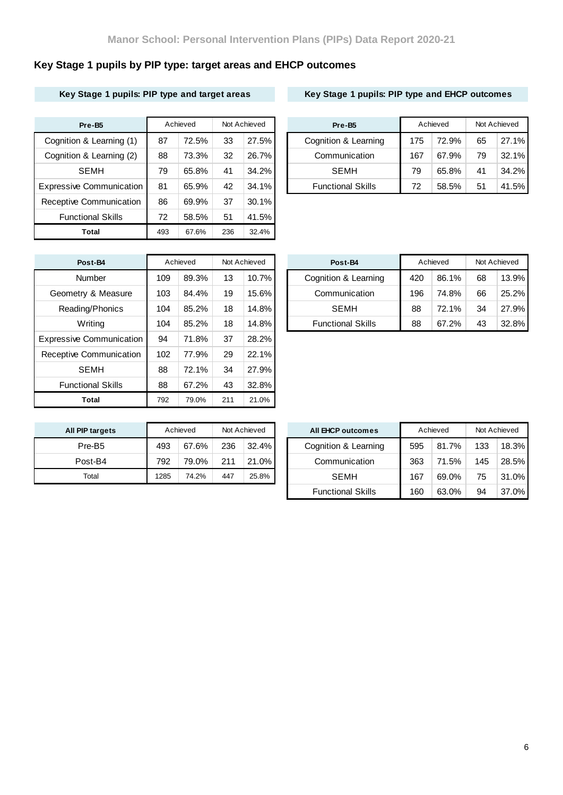# **Key Stage 1 pupils by PIP type: target areas and EHCP outcomes**

### **Key Stage 1 pupils: PIP type and target areas Key Stage 1 pupils: PIP type and EHCP outcomes**

| Pre-B5                          |     | Achieved | Not Achieved |          | Pre-B <sub>5</sub>       | Achieved |       | Not Achieved |       |
|---------------------------------|-----|----------|--------------|----------|--------------------------|----------|-------|--------------|-------|
| Cognition & Learning (1)        | 87  | 72.5%    | 33           | 27.5%    | Cognition & Learning     |          | 72.9% | 65           | 27.1% |
| Cognition & Learning (2)        | 88  | 73.3%    | 32           | 26.7%    | Communication            | 167      | 67.9% | 79           | 32.1% |
| <b>SEMH</b>                     | 79  | 65.8%    | 41           | $34.2\%$ | <b>SEMH</b>              | 79       | 65.8% | 41           | 34.2% |
| <b>Expressive Communication</b> | 81  | 65.9%    | 42           | 34.1%    | <b>Functional Skills</b> | 72       | 58.5% | 51           | 41.5% |
| Receptive Communication         | 86  | 69.9%    | 37           | $30.1\%$ |                          |          |       |              |       |
| <b>Functional Skills</b>        | 72  | 58.5%    | 51           | 41.5%    |                          |          |       |              |       |
| Total                           | 493 | 67.6%    | 236          | 32.4%    |                          |          |       |              |       |

| Pre-B <sub>5</sub>       |    | Achieved |    | Not Achieved |  | Pre-B <sub>5</sub>       | Achieved |       | Not Achieved |          |
|--------------------------|----|----------|----|--------------|--|--------------------------|----------|-------|--------------|----------|
| Cognition & Learning (1) | 87 | 72.5%    | 33 | 27.5%        |  | Cognition & Learning     | 175      | 72.9% | 65           | 27.1%    |
| Cognition & Learning (2) | 88 | 73.3%    | 32 | 26.7%        |  | Communication            | 167      | 67.9% | 79           | $32.1\%$ |
| <b>SEMH</b>              | 79 | 65.8%    | 41 | 34.2%        |  | <b>SEMH</b>              | 79       | 65.8% | 41           | $34.2\%$ |
| xpressive Communication  | 81 | 65.9%    | 42 | $34.1\%$     |  | <b>Functional Skills</b> | 72       | 58.5% | 51           | 41.5%    |

| Post-B4                         |     | Achieved |     | Not Achieved | Post-B4             |
|---------------------------------|-----|----------|-----|--------------|---------------------|
| Number                          | 109 | 89.3%    | 13  | 10.7%        | Cognition & Le      |
| Geometry & Measure              | 103 | 84.4%    | 19  | 15.6%        | Communica           |
| Reading/Phonics                 | 104 | 85.2%    | 18  | 14.8%        | <b>SEMH</b>         |
| Writing                         | 104 | 85.2%    | 18  | 14.8%        | <b>Functional S</b> |
| <b>Expressive Communication</b> | 94  | 71.8%    | 37  | 28.2%        |                     |
| Receptive Communication         | 102 | 77.9%    | 29  | 22.1%        |                     |
| <b>SEMH</b>                     | 88  | 72.1%    | 34  | 27.9%        |                     |
| <b>Functional Skills</b>        | 88  | 67.2%    | 43  | 32.8%        |                     |
| Total                           | 792 | 79.0%    | 211 | 21.0%        |                     |

| Post-B4            |     | Achieved |    | Not Achieved | Post-B4                  |     | Achieved |    | Not Achieved |
|--------------------|-----|----------|----|--------------|--------------------------|-----|----------|----|--------------|
| Number             | 109 | 89.3%    | 13 | $10.7\%$     | Cognition & Learning     | 420 | 86.1%    | 68 | 13.9%        |
| Geometry & Measure | 103 | 84.4%    | 19 | $15.6\%$     | Communication            | 196 | 74.8%    | 66 | 25.2%        |
| Reading/Phonics    | 104 | 85.2%    | 18 | 14.8%        | <b>SEMH</b>              | 88  | 72.1%    | 34 | 27.9%        |
| Writing            | 104 | 85.2%    | 18 | $14.8\%$     | <b>Functional Skills</b> | 88  | 67.2%    | 43 | 32.8%        |

| All PIP targets    |      | Achieved |     | Not Achieved | <b>All EHCP outcomes</b> |
|--------------------|------|----------|-----|--------------|--------------------------|
| Pre-B <sub>5</sub> | 493  | 67.6%    | 236 | 32.4%        | Cognition & Learnir      |
| Post-B4            | 792  | 79.0%    | 211 | 21.0%        | Communication            |
| Total              | 1285 | 74.2%    | 447 | 25.8%        | <b>SEMH</b>              |

| <b>PIP targets</b> |      | Achieved |     | Not Achieved | All EHCP outcomes        |     | Achieved |     | Not Achieved |
|--------------------|------|----------|-----|--------------|--------------------------|-----|----------|-----|--------------|
| Pre-B <sub>5</sub> | 493  | 67.6%    | 236 | 32.4%        | Cognition & Learning     | 595 | 81.7%    | 133 | 18.3%        |
| Post-B4            | 792  | 79.0%    | 211 | 21.0%        | Communication            | 363 | 71.5%    | 145 | 28.5%        |
| Total              | 1285 | 74.2%    | 447 | 25.8%        | <b>SEMH</b>              | 167 | 69.0%    | 75  | $31.0\%$     |
|                    |      |          |     |              | <b>Functional Skills</b> | 160 | 63.0%    | 94  | $37.0\%$     |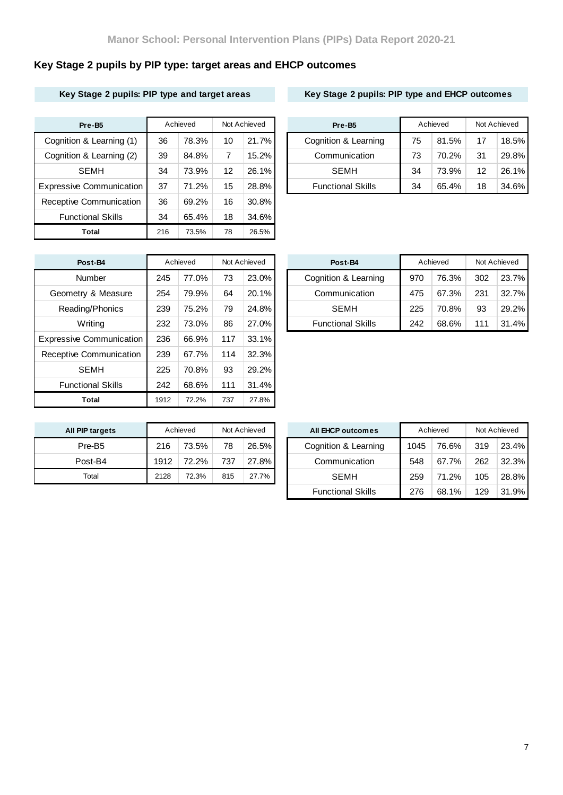# **Key Stage 2 pupils by PIP type: target areas and EHCP outcomes**

### **Key Stage 2 pupils: PIP type and target areas Key Stage 2 pupils: PIP type and EHCP outcomes**

| Pre-B5                          |     | Achieved |    | Not Achieved | Pre-B <sub>5</sub>       |    | Achieved |    | Not Achieved |
|---------------------------------|-----|----------|----|--------------|--------------------------|----|----------|----|--------------|
| Cognition & Learning (1)        | 36  | 78.3%    | 10 | 21.7%        | Cognition & Learning     | 75 | 81.5%    | 17 | 18.5%        |
| Cognition & Learning (2)        | 39  | 84.8%    | 7  | 15.2%        | Communication            | 73 | 70.2%    | 31 | 29.8%        |
| <b>SEMH</b>                     | 34  | 73.9%    | 12 | 26.1%        | <b>SEMH</b>              | 34 | 73.9%    | 12 | 26.1%        |
| <b>Expressive Communication</b> | 37  | 71.2%    | 15 | 28.8%        | <b>Functional Skills</b> | 34 | 65.4%    | 18 | 34.6%        |
| Receptive Communication         | 36  | 69.2%    | 16 | 30.8%        |                          |    |          |    |              |
| <b>Functional Skills</b>        | 34  | 65.4%    | 18 | 34.6%        |                          |    |          |    |              |
| Total                           | 216 | 73.5%    | 78 | 26.5%        |                          |    |          |    |              |

| Pre-B <sub>5</sub>       |    | Achieved |    | Not Achieved | Pre-B <sub>5</sub>       |    | Achieved |    | Not Achieved |
|--------------------------|----|----------|----|--------------|--------------------------|----|----------|----|--------------|
| Cognition & Learning (1) | 36 | 78.3%    | 10 | 21.7%        | Cognition & Learning     | 75 | 81.5%    | 17 | 18.5%        |
| Cognition & Learning (2) | 39 | 84.8%    |    | $15.2\%$     | Communication            | 73 | 70.2%    | 31 | 29.8%        |
| <b>SEMH</b>              | 34 | 73.9%    | 12 | 26.1%        | <b>SEMH</b>              | 34 | 73.9%    | 12 | $26.1\%$     |
| xpressive Communication  | 37 | 71.2%    | 15 | $28.8\%$     | <b>Functional Skills</b> | 34 | 65.4%    | 18 | $34.6\%$     |

| Post-B4                         |      | Achieved |     | Not Achieved | Post-B4             |
|---------------------------------|------|----------|-----|--------------|---------------------|
| Number                          | 245  | 77.0%    | 73  | 23.0%        | Cognition & Le      |
| Geometry & Measure              | 254  | 79.9%    | 64  | 20.1%        | Communica           |
| Reading/Phonics                 | 239  | 75.2%    | 79  | 24.8%        | <b>SEMH</b>         |
| Writing                         | 232  | 73.0%    | 86  | 27.0%        | <b>Functional S</b> |
| <b>Expressive Communication</b> | 236  | 66.9%    | 117 | 33.1%        |                     |
| Receptive Communication         | 239  | 67.7%    | 114 | 32.3%        |                     |
| <b>SEMH</b>                     | 225  | 70.8%    | 93  | 29.2%        |                     |
| <b>Functional Skills</b>        | 242  | 68.6%    | 111 | 31.4%        |                     |
| Total                           | 1912 | 72.2%    | 737 | 27.8%        |                     |

| Post-B4            |     | Achieved |    | Not Achieved | Post-B4                  |     | Achieved |     | Not Achieved |
|--------------------|-----|----------|----|--------------|--------------------------|-----|----------|-----|--------------|
| Number             | 245 | 77.0%    | 73 | $23.0\%$     | Cognition & Learning     | 970 | 76.3%    | 302 | 23.7%        |
| Geometry & Measure | 254 | 79.9%    | 64 | $20.1\%$     | Communication            | 475 | 67.3%    | 231 | 32.7%        |
| Reading/Phonics    | 239 | 75.2%    | 79 | 24.8%        | <b>SEMH</b>              | 225 | 70.8%    | 93  | 29.2%        |
| Writing            | 232 | 73.0%    | 86 | 27.0%        | <b>Functional Skills</b> | 242 | 68.6%    | 111 | 31.4%        |

| All PIP targets    |      | Achieved |     | Not Achieved | <b>All EHCP outcomes</b> |
|--------------------|------|----------|-----|--------------|--------------------------|
| Pre-B <sub>5</sub> | 216  | 73.5%    | 78  | 26.5%        | Cognition & Learnir      |
| Post-B4            | 1912 | 72.2%    | 737 | 27.8%        | Communication            |
| Total              | 2128 | 72.3%    | 815 | 27.7%        | <b>SEMH</b>              |

| <b>PIP targets</b> |      | Achieved |     | Not Achieved | All EHCP outcomes        |      | Achieved |     | Not Achieved |
|--------------------|------|----------|-----|--------------|--------------------------|------|----------|-----|--------------|
| Pre-B <sub>5</sub> | 216  | 73.5%    | 78  | 26.5%        | Cognition & Learning     | 1045 | 76.6%    | 319 | 23.4%        |
| Post-B4            | 1912 | 72.2%    | 737 | 27.8%        | Communication            | 548  | 67.7%    | 262 | 32.3%        |
| Total              | 2128 | 72.3%    | 815 | 27.7%        | <b>SEMH</b>              | 259  | 71.2%    | 105 | 28.8%        |
|                    |      |          |     |              | <b>Functional Skills</b> | 276  | 68.1%    | 129 | 31.9%        |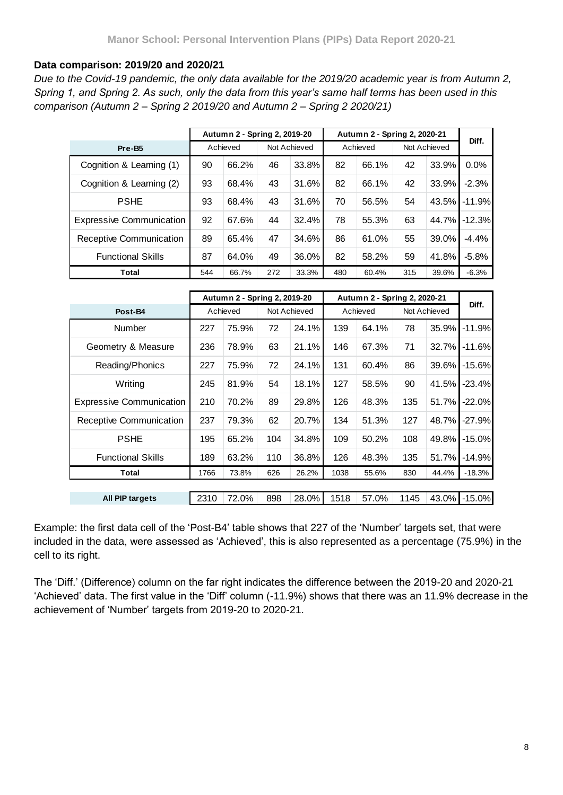### **Data comparison: 2019/20 and 2020/21**

*Due to the Covid-19 pandemic, the only data available for the 2019/20 academic year is from Autumn 2, Spring 1, and Spring 2. As such, only the data from this year's same half terms has been used in this comparison (Autumn 2 – Spring 2 2019/20 and Autumn 2 – Spring 2 2020/21)*

|                                 |     | Autumn 2 - Spring 2, 2019-20 |     |              |     | Autumn 2 - Spring 2, 2020-21 |     |              |          |
|---------------------------------|-----|------------------------------|-----|--------------|-----|------------------------------|-----|--------------|----------|
| Pre-B <sub>5</sub>              |     | Achieved                     |     | Not Achieved |     | Achieved                     |     | Not Achieved | Diff.    |
| Cognition & Learning (1)        | 90  | 66.2%                        | 46  | 33.8%        | 82  | 66.1%                        | 42  | 33.9%        | 0.0%     |
| Cognition & Learning (2)        | 93  | 68.4%                        | 43  | 31.6%        | 82  | 66.1%                        | 42  | 33.9%        | $-2.3%$  |
| <b>PSHE</b>                     | 93  | 68.4%                        | 43  | 31.6%        | 70  | 56.5%                        | 54  | 43.5%        | $-11.9%$ |
| <b>Expressive Communication</b> | 92  | 67.6%                        | 44  | 32.4%        | 78  | 55.3%                        | 63  | 44.7%        | $-12.3%$ |
| Receptive Communication         | 89  | 65.4%                        | 47  | 34.6%        | 86  | 61.0%                        | 55  | 39.0%        | $-4.4%$  |
| <b>Functional Skills</b>        | 87  | 64.0%                        | 49  | 36.0%        | 82  | 58.2%                        | 59  | 41.8%        | $-5.8%$  |
| Total                           | 544 | 66.7%                        | 272 | 33.3%        | 480 | 60.4%                        | 315 | 39.6%        | $-6.3%$  |

|                                 |      | Autumn 2 - Spring 2, 2019-20 |     |              |      | Autumn 2 - Spring 2, 2020-21 |      |              | Diff.    |
|---------------------------------|------|------------------------------|-----|--------------|------|------------------------------|------|--------------|----------|
| Post-B4                         |      | Achieved                     |     | Not Achieved |      | Achieved                     |      | Not Achieved |          |
| <b>Number</b>                   | 227  | 75.9%                        | 72  | 24.1%        | 139  | 64.1%                        | 78   | 35.9%        | $-11.9%$ |
| Geometry & Measure              | 236  | 78.9%                        | 63  | 21.1%        | 146  | 67.3%                        | 71   | 32.7%        | $-11.6%$ |
| Reading/Phonics                 | 227  | 75.9%                        | 72  | 24.1%        | 131  | 60.4%                        | 86   | 39.6%        | $-15.6%$ |
| Writing                         | 245  | 81.9%                        | 54  | 18.1%        | 127  | 58.5%                        | 90   | 41.5%        | $-23.4%$ |
| <b>Expressive Communication</b> | 210  | 70.2%                        | 89  | 29.8%        | 126  | 48.3%                        | 135  | 51.7%        | $-22.0%$ |
| Receptive Communication         | 237  | 79.3%                        | 62  | 20.7%        | 134  | 51.3%                        | 127  | 48.7%        | $-27.9%$ |
| <b>PSHE</b>                     | 195  | 65.2%                        | 104 | 34.8%        | 109  | 50.2%                        | 108  | 49.8%        | $-15.0%$ |
| <b>Functional Skills</b>        | 189  | 63.2%                        | 110 | 36.8%        | 126  | 48.3%                        | 135  | 51.7%        | $-14.9%$ |
| <b>Total</b>                    | 1766 | 73.8%                        | 626 | 26.2%        | 1038 | 55.6%                        | 830  | 44.4%        | $-18.3%$ |
|                                 |      |                              |     |              |      |                              |      |              |          |
| All PIP targets                 | 2310 | 72.0%                        | 898 | 28.0%        | 1518 | 57.0%                        | 1145 | 43.0%        | $-15.0%$ |

Example: the first data cell of the 'Post-B4' table shows that 227 of the 'Number' targets set, that were included in the data, were assessed as 'Achieved', this is also represented as a percentage (75.9%) in the cell to its right.

The 'Diff.' (Difference) column on the far right indicates the difference between the 2019-20 and 2020-21 'Achieved' data. The first value in the 'Diff' column (-11.9%) shows that there was an 11.9% decrease in the achievement of 'Number' targets from 2019-20 to 2020-21.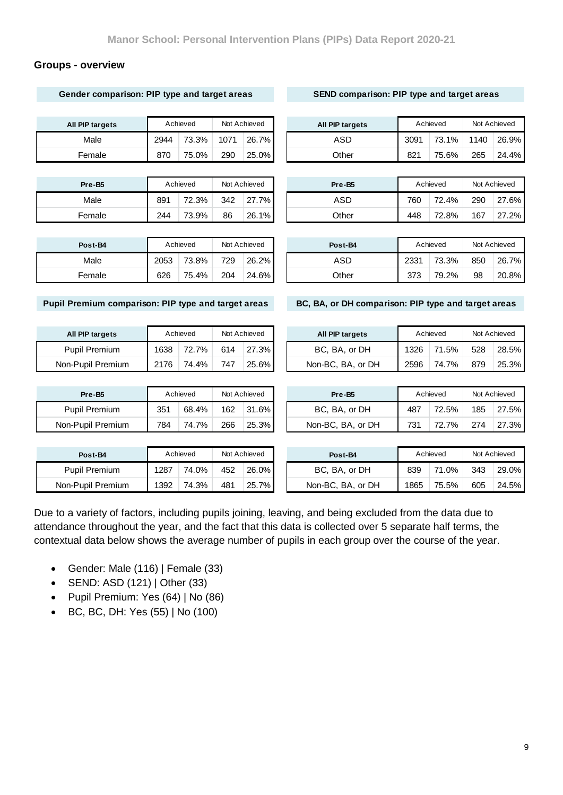### **Groups - overview**

**Gender comparison: PIP type and target areas**

|                                                     |      | Achieved |      | Not Achieved | All PIP targets                                     |      | Achieved |      | Not Achieved |
|-----------------------------------------------------|------|----------|------|--------------|-----------------------------------------------------|------|----------|------|--------------|
| Male                                                | 2944 | 73.3%    | 1071 | 26.7%        | <b>ASD</b>                                          | 3091 | 73.1%    | 1140 | 26.9%        |
| Female                                              | 870  | 75.0%    | 290  | 25.0%        | Other                                               | 821  | 75.6%    | 265  | 24.4%        |
|                                                     |      |          |      |              |                                                     |      |          |      |              |
| Pre-B5                                              |      | Achieved |      | Not Achieved | Pre-B5                                              |      | Achieved |      | Not Achieved |
| Male                                                | 891  | 72.3%    | 342  | 27.7%        | <b>ASD</b>                                          | 760  | 72.4%    | 290  | 27.6%        |
| Female                                              | 244  | 73.9%    | 86   | 26.1%        | Other                                               | 448  | 72.8%    | 167  | 27.2%        |
|                                                     |      |          |      |              |                                                     |      |          |      |              |
| Post-B4                                             |      | Achieved |      | Not Achieved | Post-B4                                             |      | Achieved |      | Not Achieved |
| Male                                                | 2053 | 73.8%    | 729  | 26.2%        | <b>ASD</b>                                          | 2331 | 73.3%    | 850  | 26.7%        |
| Female                                              | 626  | 75.4%    | 204  | 24.6%        | Other                                               | 373  | 79.2%    | 98   | 20.8%        |
| Pupil Premium comparison: PIP type and target areas |      |          |      |              | BC, BA, or DH comparison: PIP type and target areas |      |          |      |              |
| All PIP targets                                     |      | Achieved |      | Not Achieved | All PIP targets                                     |      | Achieved |      | Not Achieved |
| <b>Pupil Premium</b>                                | 1638 | 72.7%    | 614  | 27.3%        | BC, BA, or DH                                       | 1326 | 71.5%    | 528  | 28.5%        |
| Non-Pupil Premium                                   | 2176 | 74.4%    | 747  | 25.6%        | Non-BC, BA, or DH                                   | 2596 | 74.7%    | 879  | 25.3%        |
|                                                     |      |          |      |              |                                                     |      |          |      |              |
| Pre-B5                                              |      | Achieved |      | Not Achieved | Pre-B5                                              |      | Achieved |      | Not Achieved |
| Pupil Premium                                       | 351  | 68.4%    | 162  | 31.6%        | BC, BA, or DH                                       | 487  | 72.5%    | 185  | 27.5%        |
| Non-Pupil Premium                                   | 784  | 74.7%    | 266  | 25.3%        | Non-BC, BA, or DH                                   | 731  | 72.7%    | 274  | 27.3%        |
|                                                     |      |          |      |              |                                                     |      |          |      |              |
| Post-B4                                             |      | Achieved |      | Not Achieved | Post-B4                                             |      | Achieved |      | Not Achieved |

Due to a variety of factors, including pupils joining, leaving, and being excluded from the data due to attendance throughout the year, and the fact that this data is collected over 5 separate half terms, the contextual data below shows the average number of pupils in each group over the course of the year.

Gender: Male (116) | Female (33)

Non-Pupil Premium | 1392 74.3% 481 25.7%

- SEND: ASD (121) | Other (33)
- Pupil Premium: Yes (64) | No (86)
- BC, BC, DH: Yes (55) | No (100)

Non-BC, BA, or DH 1865 75.5% 605 24.5%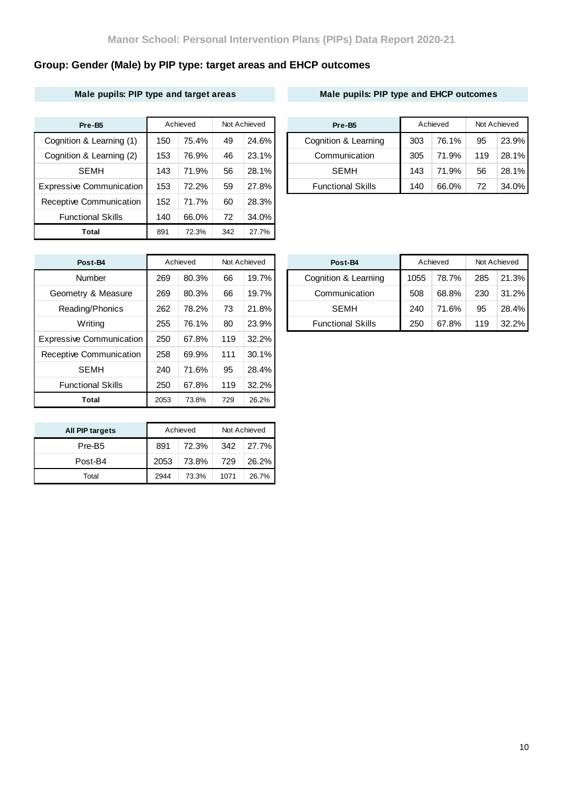# **Group: Gender (Male) by PIP type: target areas and EHCP outcomes**

### **Male pupils: PIP type and target areas Male pupils: PIP type and EHCP outcomes**

| Pre-B5                          |     | Achieved | Not Achieved |          | Pre-B <sub>5</sub>       |     | Achieved | Not Achieved |       |
|---------------------------------|-----|----------|--------------|----------|--------------------------|-----|----------|--------------|-------|
| Cognition & Learning (1)        | 150 | 75.4%    | 49           | 24.6%    | Cognition & Learning     | 303 | 76.1%    | 95           | 23.9% |
| Cognition & Learning (2)        | 153 | 76.9%    | 46           | $23.1\%$ | Communication            | 305 | 71.9%    | 119          | 28.1% |
| <b>SEMH</b>                     | 143 | 71.9%    | 56           | 28.1%    | <b>SEMH</b>              | 143 | 71.9%    | 56           | 28.1% |
| <b>Expressive Communication</b> | 153 | 72.2%    | 59           | 27.8%    | <b>Functional Skills</b> | 140 | 66.0%    | 72           | 34.0% |
| Receptive Communication         | 152 | 71.7%    | 60           | 28.3%    |                          |     |          |              |       |
| <b>Functional Skills</b>        | 140 | 66.0%    | 72           | 34.0%    |                          |     |          |              |       |
| Total                           | 891 | 72.3%    | 342          | 27.7%    |                          |     |          |              |       |

| Pre-B <sub>5</sub>       |     | Achieved | Not Achieved |       | Pre-B <sub>5</sub>       | Achieved |       | Not Achieved |          |
|--------------------------|-----|----------|--------------|-------|--------------------------|----------|-------|--------------|----------|
| Cognition & Learning (1) | 150 | 75.4%    | 49           | 24.6% | Cognition & Learning     | 303      | 76.1% | 95           | 23.9%    |
| Cognition & Learning (2) | 153 | 76.9%    | 46           | 23.1% | Communication            | 305      | 71.9% | 119          | 28.1%    |
| <b>SEMH</b>              | 143 | 71.9%    | 56           | 28.1% | <b>SEMH</b>              | 143      | 71.9% | 56           | 28.1%    |
| xpressive Communication  | 153 | 72.2%    | 59           | 27.8% | <b>Functional Skills</b> | 140      | 66.0% | 72           | $34.0\%$ |

| Post-B4                         |      | Achieved |     | Not Achieved | Post-B4             |
|---------------------------------|------|----------|-----|--------------|---------------------|
| Number                          | 269  | 80.3%    | 66  | 19.7%        | Cognition & Le      |
| Geometry & Measure              | 269  | 80.3%    | 66  | 19.7%        | Communica           |
| Reading/Phonics                 | 262  | 78.2%    | 73  | 21.8%        | <b>SEMH</b>         |
| Writing                         | 255  | 76.1%    | 80  | 23.9%        | <b>Functional S</b> |
| <b>Expressive Communication</b> | 250  | 67.8%    | 119 | 32.2%        |                     |
| Receptive Communication         | 258  | 69.9%    | 111 | 30.1%        |                     |
| <b>SEMH</b>                     | 240  | 71.6%    | 95  | 28.4%        |                     |
| <b>Functional Skills</b>        | 250  | 67.8%    | 119 | 32.2%        |                     |
| Total                           | 2053 | 73.8%    | 729 | 26.2%        |                     |

| Post-B4            |     | Achieved | Not Achieved |       | Post-B4                  |      | Achieved | Not Achieved |       |
|--------------------|-----|----------|--------------|-------|--------------------------|------|----------|--------------|-------|
| Number             | 269 | 80.3%    | 66           | 19.7% | Cognition & Learning     | 1055 | 78.7%    | 285          | 21.3% |
| Geometry & Measure | 269 | 80.3%    | 66           | 19.7% | Communication            | 508  | 68.8%    | 230          | 31.2% |
| Reading/Phonics    | 262 | 78.2%    | 73           | 21.8% | SEMH                     | 240  | 71.6%    | 95           | 28.4% |
| Writing            | 255 | 76.1%    | 80           | 23.9% | <b>Functional Skills</b> | 250  | 67.8%    | 119          | 32.2% |
|                    |     |          |              |       |                          |      |          |              |       |

| All PIP targets    |      | Achieved | Not Achieved |         |  |  |
|--------------------|------|----------|--------------|---------|--|--|
| Pre-B <sub>5</sub> | 891  | 72.3%    | 342          | ⊦ 27.7% |  |  |
| Post-B4            | 2053 | 73.8%    | 729          | 26.2%   |  |  |
| Total              | 2944 | 73.3%    | 1071         | 26.7%   |  |  |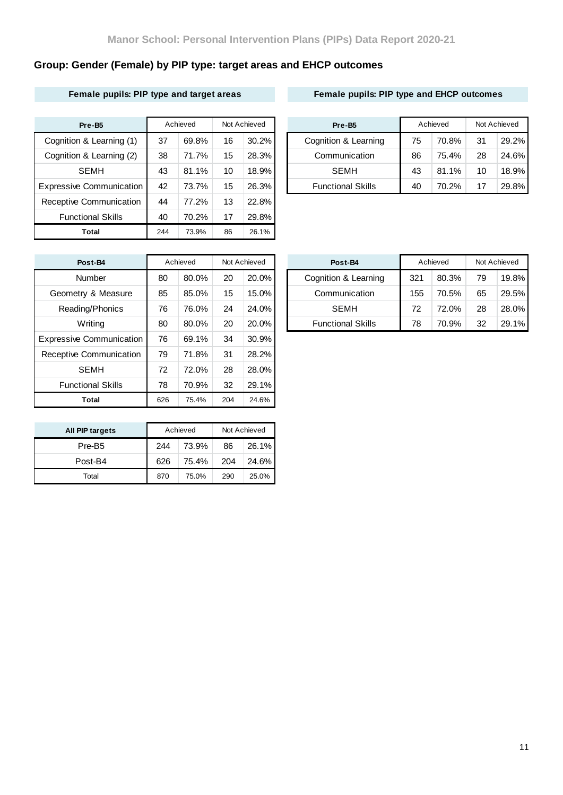# **Group: Gender (Female) by PIP type: target areas and EHCP outcomes**

### **Female pupils: PIP type and target areas Female pupils: PIP type and EHCP outcomes**

| Pre-B5                          |     | Achieved |    | Not Achieved |  | Pre-B <sub>5</sub>       | Achieved |       | Not Achieved |       |
|---------------------------------|-----|----------|----|--------------|--|--------------------------|----------|-------|--------------|-------|
| Cognition & Learning (1)        | 37  | 69.8%    | 16 | $30.2\%$     |  | Cognition & Learning     | 75       | 70.8% | 31           | 29.2% |
| Cognition & Learning (2)        | 38  | 71.7%    | 15 | 28.3%        |  | Communication            | 86       | 75.4% | 28           | 24.6% |
| <b>SEMH</b>                     | 43  | 81.1%    | 10 | 18.9%        |  | <b>SEMH</b>              | 43       | 81.1% | 10           | 18.9% |
| <b>Expressive Communication</b> | 42  | 73.7%    | 15 | 26.3%        |  | <b>Functional Skills</b> | 40       | 70.2% | 17           | 29.8% |
| Receptive Communication         | 44  | 77.2%    | 13 | 22.8%        |  |                          |          |       |              |       |
| <b>Functional Skills</b>        | 40  | 70.2%    | 17 | 29.8%        |  |                          |          |       |              |       |
| Total                           | 244 | 73.9%    | 86 | 26.1%        |  |                          |          |       |              |       |

| Pre-B <sub>5</sub>       |    | Achieved | Not Achieved |          | Pre-B <sub>5</sub>       | Achieved |       | Not Achieved |          |
|--------------------------|----|----------|--------------|----------|--------------------------|----------|-------|--------------|----------|
| Cognition & Learning (1) | 37 | 69.8%    | 16           | $30.2\%$ | Cognition & Learning     | 75       | 70.8% | 31           | 29.2%    |
| Cognition & Learning (2) | 38 | 71.7%    | 15           | 28.3%    | Communication            | 86       | 75.4% | 28           | 24.6%    |
| <b>SEMH</b>              | 43 | 81.1%    | 10           | 18.9%    | <b>SEMH</b>              | 43       | 81.1% | 10           | 18.9%    |
| xpressive Communication  | 42 | 73.7%    | 15           | 26.3%    | <b>Functional Skills</b> | 40       | 70.2% | 17           | $29.8\%$ |

| Post-B4                         |     | Achieved |     | Not Achieved | Post-B4             |
|---------------------------------|-----|----------|-----|--------------|---------------------|
| Number                          | 80  | 80.0%    | 20  | 20.0%        | Cognition & Le      |
| Geometry & Measure              | 85  | 85.0%    | 15  | 15.0%        | Communica           |
| Reading/Phonics                 | 76  | 76.0%    | 24  | 24.0%        | <b>SEMH</b>         |
| Writing                         | 80  | 80.0%    | 20  | 20.0%        | <b>Functional S</b> |
| <b>Expressive Communication</b> | 76  | 69.1%    | 34  | 30.9%        |                     |
| Receptive Communication         | 79  | 71.8%    | 31  | 28.2%        |                     |
| <b>SEMH</b>                     | 72  | 72.0%    | 28  | 28.0%        |                     |
| <b>Functional Skills</b>        | 78  | 70.9%    | 32  | 29.1%        |                     |
| Total                           | 626 | 75.4%    | 204 | 24.6%        |                     |

| All PIP targets    |     | Achieved | Not Achieved |       |  |  |
|--------------------|-----|----------|--------------|-------|--|--|
| Pre-B <sub>5</sub> | 244 | 73.9%    | 86           | 26.1% |  |  |
| Post-B4            | 626 | 75.4%    | 204          | 24.6% |  |  |
| Total              | 870 | 75.0%    | 290          | 25.0% |  |  |

| Post-B4            |    | Achieved<br>Not Achieved |    | Post-B4  | Achieved                 |     | Not Achieved |    |          |
|--------------------|----|--------------------------|----|----------|--------------------------|-----|--------------|----|----------|
| Number             | 80 | 80.0%                    | 20 | $20.0\%$ | Cognition & Learning     | 321 | 80.3%        | 79 | $19.8\%$ |
| Geometry & Measure | 85 | 85.0%                    | 15 | $15.0\%$ | Communication            | 155 | 70.5%        | 65 | 29.5%    |
| Reading/Phonics    | 76 | 76.0%                    | 24 | $24.0\%$ | <b>SEMH</b>              | 72  | 72.0%        | 28 | 28.0%    |
| Writing            | 80 | 80.0%                    | 20 | $20.0\%$ | <b>Functional Skills</b> | 78  | 70.9%        | 32 | $29.1\%$ |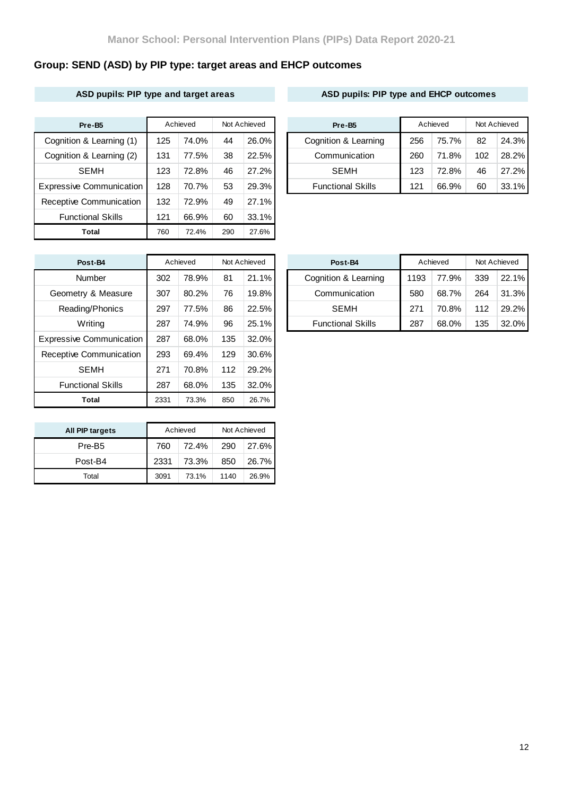# **Group: SEND (ASD) by PIP type: target areas and EHCP outcomes**

### **ASD pupils: PIP type and target areas ASD pupils: PIP type and EHCP outcomes**

| Pre-B <sub>5</sub>              |     | Achieved |     | Not Achieved |  | Pre-B <sub>5</sub>       | Achieved |       | Not Achieved |       |
|---------------------------------|-----|----------|-----|--------------|--|--------------------------|----------|-------|--------------|-------|
| Cognition & Learning (1)        | 125 | 74.0%    | 44  | $26.0\%$     |  | Cognition & Learning     | 256      | 75.7% | 82           | 24.3% |
| Cognition & Learning (2)        | 131 | 77.5%    | 38  | 22.5%        |  | Communication            | 260      | 71.8% | 102          | 28.2% |
| <b>SEMH</b>                     | 123 | 72.8%    | 46  | 27.2%        |  | SEMH                     | 123      | 72.8% | 46           | 27.2% |
| <b>Expressive Communication</b> | 128 | 70.7%    | 53  | 29.3%        |  | <b>Functional Skills</b> | 121      | 66.9% | 60           | 33.1% |
| Receptive Communication         | 132 | 72.9%    | 49  | 27.1%        |  |                          |          |       |              |       |
| <b>Functional Skills</b>        | 121 | 66.9%    | 60  | $33.1\%$     |  |                          |          |       |              |       |
| <b>Total</b>                    | 760 | 72.4%    | 290 | 27.6%        |  |                          |          |       |              |       |

| Pre-B5                   |     | Achieved | Not Achieved |          |  | Pre-B <sub>5</sub>       | Achieved |       | Not Achieved |          |
|--------------------------|-----|----------|--------------|----------|--|--------------------------|----------|-------|--------------|----------|
| Cognition & Learning (1) | 125 | 74.0%    | 44           | $26.0\%$ |  | Cognition & Learning     | 256      | 75.7% | 82           | 24.3%    |
| Cognition & Learning (2) | 131 | 77.5%    | 38           | 22.5%    |  | Communication            | 260      | 71.8% | 102          | 28.2%    |
| <b>SEMH</b>              | 123 | 72.8%    | 46           | 27.2%    |  | <b>SEMH</b>              | 123      | 72.8% | 46           | 27.2%    |
| xpressive Communication  | 128 | 70.7%    | 53           | 29.3%    |  | <b>Functional Skills</b> | 121      | 66.9% | 60           | $33.1\%$ |

| Post-B4                         |      | Achieved |     | Not Achieved | Post-B4             |
|---------------------------------|------|----------|-----|--------------|---------------------|
| Number                          | 302  | 78.9%    | 81  | 21.1%        | Cognition & Le      |
| Geometry & Measure              | 307  | 80.2%    | 76  | 19.8%        | Communica           |
| Reading/Phonics                 | 297  | 77.5%    | 86  | 22.5%        | <b>SEMH</b>         |
| Writing                         | 287  | 74.9%    | 96  | 25.1%        | <b>Functional S</b> |
| <b>Expressive Communication</b> | 287  | 68.0%    | 135 | 32.0%        |                     |
| Receptive Communication         | 293  | 69.4%    | 129 | 30.6%        |                     |
| <b>SEMH</b>                     | 271  | 70.8%    | 112 | 29.2%        |                     |
| <b>Functional Skills</b>        | 287  | 68.0%    | 135 | 32.0%        |                     |
| Total                           | 2331 | 73.3%    | 850 | 26.7%        |                     |

| All PIP targets    |      | Achieved | Not Achieved |       |  |  |
|--------------------|------|----------|--------------|-------|--|--|
| Pre-B <sub>5</sub> | 760  | 72.4%    | 290          | 27.6% |  |  |
| Post-B4            | 2331 | 73.3%    | 850          | 26.7% |  |  |
| Total              | 3091 | 73.1%    | 1140         | 26.9% |  |  |

| Post-B4            |     | Achieved |    | Not Achieved | Post-B4 |                          |      | Achieved |     | Not Achieved |
|--------------------|-----|----------|----|--------------|---------|--------------------------|------|----------|-----|--------------|
| Number             | 302 | 78.9%    | 81 | $21.1\%$     |         | Cognition & Learning     | 1193 | 77.9%    | 339 | $22.1\%$     |
| Geometry & Measure | 307 | 80.2%    | 76 | 19.8%        |         | Communication            | 580  | 68.7%    | 264 | 31.3%        |
| Reading/Phonics    | 297 | 77.5%    | 86 | 22.5%        |         | <b>SEMH</b>              | 271  | 70.8%    | 112 | 29.2%        |
| Writing            | 287 | 74.9%    | 96 | 25.1%        |         | <b>Functional Skills</b> | 287  | 68.0%    | 135 | $32.0\%$     |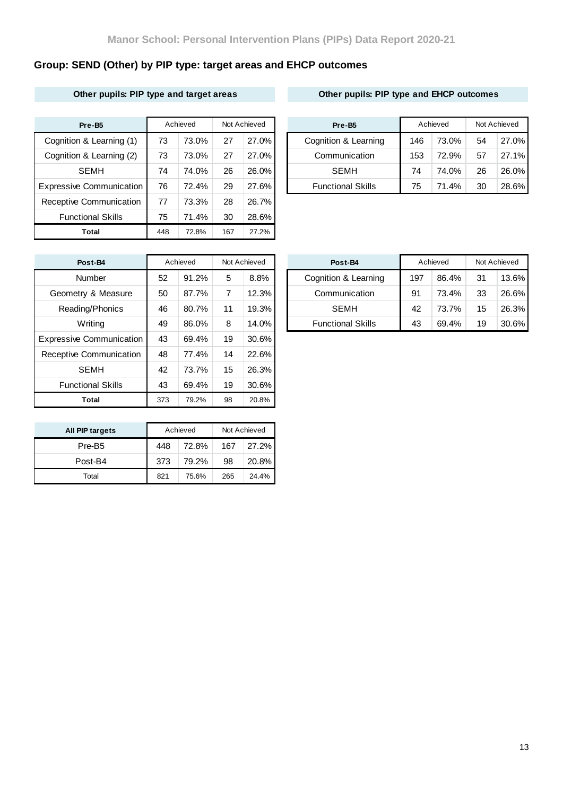# **Group: SEND (Other) by PIP type: target areas and EHCP outcomes**

### **Other pupils: PIP type and target areas Other pupils: PIP type and EHCP outcomes**

| Pre-B5                          |     | Achieved |     | Not Achieved | Pre-B <sub>5</sub>       |     | Achieved |    | Not Achieved |
|---------------------------------|-----|----------|-----|--------------|--------------------------|-----|----------|----|--------------|
| Cognition & Learning (1)        | 73  | 73.0%    | 27  | 27.0%        | Cognition & Learning     | 146 | 73.0%    | 54 | 27.0%        |
| Cognition & Learning (2)        | 73  | 73.0%    | 27  | 27.0%        | Communication            | 153 | 72.9%    | 57 | 27.1%        |
| <b>SEMH</b>                     | 74  | 74.0%    | 26  | 26.0%        | <b>SEMH</b>              | 74  | 74.0%    | 26 | 26.0%        |
| <b>Expressive Communication</b> | 76  | 72.4%    | 29  | 27.6%        | <b>Functional Skills</b> | 75  | 71.4%    | 30 | 28.6%        |
| Receptive Communication         | 77  | 73.3%    | 28  | 26.7%        |                          |     |          |    |              |
| <b>Functional Skills</b>        | 75  | 71.4%    | 30  | 28.6%        |                          |     |          |    |              |
| Total                           | 448 | 72.8%    | 167 | 27.2%        |                          |     |          |    |              |

| Pre-B <sub>5</sub>       |    | Achieved |    | Not Achieved | Pre-B <sub>5</sub> |                          | Achieved |       | Not Achieved |          |
|--------------------------|----|----------|----|--------------|--------------------|--------------------------|----------|-------|--------------|----------|
| Cognition & Learning (1) | 73 | 73.0%    | 27 | 27.0%        |                    | Cognition & Learning     | 146      | 73.0% | 54           | 27.0%    |
| Cognition & Learning (2) | 73 | 73.0%    | 27 | 27.0%        |                    | Communication            | 153      | 72.9% | 57           | $27.1\%$ |
| <b>SEMH</b>              | 74 | 74.0%    | 26 | 26.0%        |                    | <b>SEMH</b>              | 74       | 74.0% | 26           | $26.0\%$ |
| xpressive Communication  | 76 | 72.4%    | 29 | 27.6%        |                    | <b>Functional Skills</b> | 75       | 71.4% | 30           | 28.6%    |

| Post-B4                         |     | Achieved |    | Not Achieved | Post-B4             |
|---------------------------------|-----|----------|----|--------------|---------------------|
| Number                          | 52  | 91.2%    | 5  | 8.8%         | Cognition & Le      |
| Geometry & Measure              | 50  | 87.7%    | 7  | 12.3%        | Communica           |
| Reading/Phonics                 | 46  | 80.7%    | 11 | 19.3%        | <b>SEMH</b>         |
| Writing                         | 49  | 86.0%    | 8  | 14.0%        | <b>Functional S</b> |
| <b>Expressive Communication</b> | 43  | 69.4%    | 19 | 30.6%        |                     |
| Receptive Communication         | 48  | 77.4%    | 14 | 22.6%        |                     |
| <b>SEMH</b>                     | 42  | 73.7%    | 15 | 26.3%        |                     |
| <b>Functional Skills</b>        | 43  | 69.4%    | 19 | 30.6%        |                     |
| Total                           | 373 | 79.2%    | 98 | 20.8%        |                     |

| All PIP targets    |     | Achieved | Not Achieved |       |  |  |
|--------------------|-----|----------|--------------|-------|--|--|
| Pre-B <sub>5</sub> | 448 | 72.8%    | 167          | 27.2% |  |  |
| Post-B4            | 373 | 79.2%    | 98           | 20.8% |  |  |
| Total              | 821 | 75.6%    | 265          | 24.4% |  |  |

| Post-B4            |    | Achieved |    | Not Achieved |  | Post-B4                  |     | Achieved | Not Achieved |          |
|--------------------|----|----------|----|--------------|--|--------------------------|-----|----------|--------------|----------|
| Number             | 52 | 91.2%    | 5  | 8.8%         |  | Cognition & Learning     | 197 | 86.4%    | 31           | $13.6\%$ |
| Geometry & Measure | 50 | 87.7%    |    | $12.3\%$     |  | Communication            | 91  | 73.4%    | 33           | 26.6%    |
| Reading/Phonics    | 46 | 80.7%    | 11 | $19.3\%$     |  | <b>SEMH</b>              | 42  | 73.7%    | 15           | 26.3%    |
| Writing            | 49 | 86.0%    | 8  | $14.0\%$     |  | <b>Functional Skills</b> | 43  | 69.4%    | 19           | $30.6\%$ |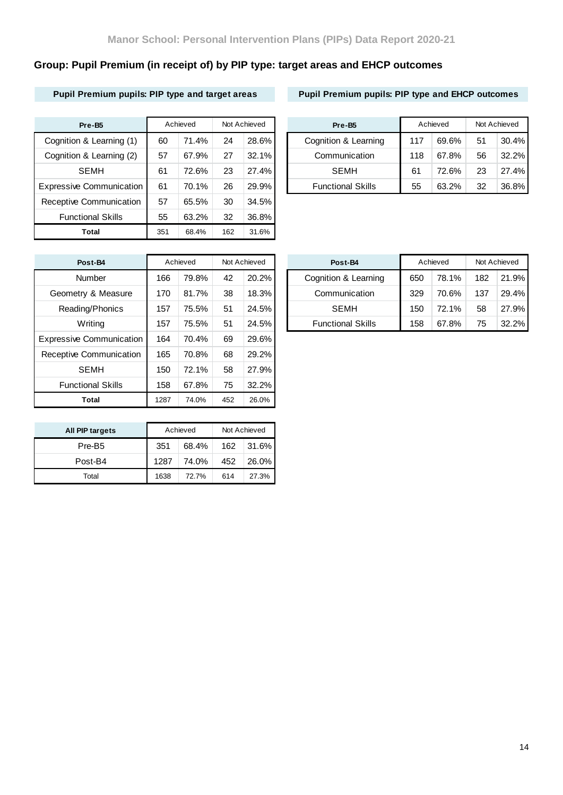# **Group: Pupil Premium (in receipt of) by PIP type: target areas and EHCP outcomes**

## **Pupil Premium pupils: PIP type and target areas Pupil Premium pupils: PIP type and EHCP outcomes**

| Pre-B5                          |     | Achieved |     | Not Achieved | Pre-B <sub>5</sub>       |     | Achieved |    | Not Achieved |
|---------------------------------|-----|----------|-----|--------------|--------------------------|-----|----------|----|--------------|
| Cognition & Learning (1)        | 60  | 71.4%    | 24  | 28.6%        | Cognition & Learning     | 117 | 69.6%    | 51 | 30.4%        |
| Cognition & Learning (2)        | 57  | 67.9%    | 27  | 32.1%        | Communication            | 118 | 67.8%    | 56 | 32.2%        |
| <b>SEMH</b>                     | 61  | 72.6%    | 23  | 27.4%        | <b>SEMH</b>              | 61  | 72.6%    | 23 | 27.4%        |
| <b>Expressive Communication</b> | 61  | 70.1%    | 26  | 29.9%        | <b>Functional Skills</b> | 55  | 63.2%    | 32 | 36.8%        |
| Receptive Communication         | 57  | 65.5%    | 30  | 34.5%        |                          |     |          |    |              |
| <b>Functional Skills</b>        | 55  | 63.2%    | 32  | 36.8%        |                          |     |          |    |              |
| Total                           | 351 | 68.4%    | 162 | 31.6%        |                          |     |          |    |              |

| Pre-B <sub>5</sub>       |    | Achieved |    | Not Achieved | Pre-B <sub>5</sub> |                          | Achieved |       | Not Achieved |          |
|--------------------------|----|----------|----|--------------|--------------------|--------------------------|----------|-------|--------------|----------|
| Cognition & Learning (1) | 60 | 71.4%    | 24 | 28.6%        |                    | Cognition & Learning     | 117      | 69.6% | 51           | $30.4\%$ |
| Cognition & Learning (2) | 57 | 67.9%    | 27 | $32.1\%$     |                    | Communication            | 118      | 67.8% | 56           | $32.2\%$ |
| <b>SEMH</b>              | 61 | 72.6%    | 23 | 27.4%        |                    | <b>SEMH</b>              | 61       | 72.6% | 23           | 27.4%    |
| xpressive Communication  | 61 | 70.1%    | 26 | 29.9%        |                    | <b>Functional Skills</b> | 55       | 63.2% | 32           | $36.8\%$ |

| Post-B4                         |      | Achieved |     | Not Achieved | Post-B4             |
|---------------------------------|------|----------|-----|--------------|---------------------|
| Number                          | 166  | 79.8%    | 42  | 20.2%        | Cognition & Le      |
| Geometry & Measure              | 170  | 81.7%    | 38  | 18.3%        | Communica           |
| Reading/Phonics                 | 157  | 75.5%    | 51  | 24.5%        | <b>SEMH</b>         |
| Writing                         | 157  | 75.5%    | 51  | 24.5%        | <b>Functional S</b> |
| <b>Expressive Communication</b> | 164  | 70.4%    | 69  | 29.6%        |                     |
| Receptive Communication         | 165  | 70.8%    | 68  | 29.2%        |                     |
| <b>SEMH</b>                     | 150  | 72.1%    | 58  | 27.9%        |                     |
| <b>Functional Skills</b>        | 158  | 67.8%    | 75  | 32.2%        |                     |
| Total                           | 1287 | 74.0%    | 452 | 26.0%        |                     |

| All PIP targets    |      | Achieved | Not Achieved |       |  |  |
|--------------------|------|----------|--------------|-------|--|--|
| Pre-B <sub>5</sub> | 351  | 68.4%    | 162          | 31.6% |  |  |
| Post-B4            | 1287 | 74.0%    | 452          | 26.0% |  |  |
| Total              | 1638 | 72.7%    | 614          | 27.3% |  |  |

| Post-B4            |     | Achieved |    | Not Achieved | Post-B4                  |     | Achieved |     | Not Achieved |
|--------------------|-----|----------|----|--------------|--------------------------|-----|----------|-----|--------------|
| Number             | 166 | 79.8%    | 42 | $20.2\%$     | Cognition & Learning     | 650 | 78.1%    | 182 | 21.9%        |
| Geometry & Measure | 170 | 81.7%    | 38 | $18.3\%$     | Communication            | 329 | 70.6%    | 137 | 29.4%        |
| Reading/Phonics    | 157 | 75.5%    | 51 | 24.5%        | <b>SEMH</b>              | 150 | 72.1%    | 58  | 27.9%        |
| Writing            | 157 | 75.5%    | 51 | 24.5%        | <b>Functional Skills</b> | 158 | 67.8%    | 75  | $32.2\%$     |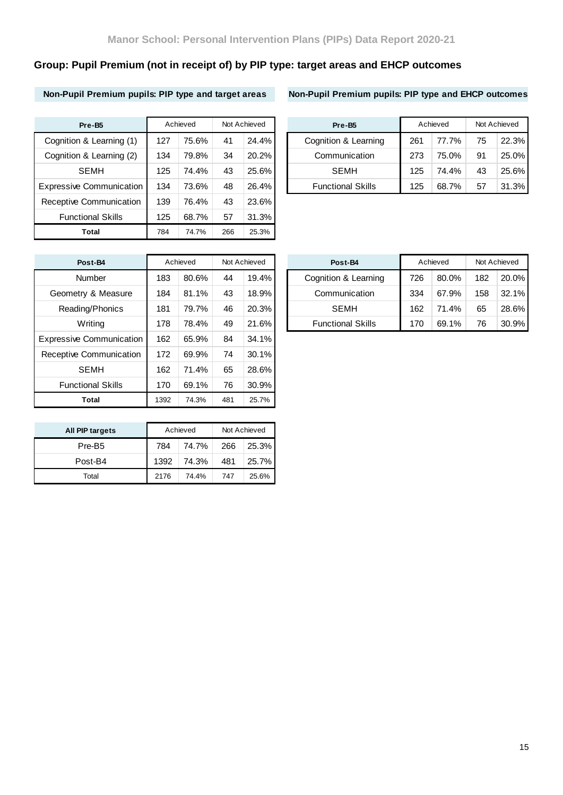# **Group: Pupil Premium (not in receipt of) by PIP type: target areas and EHCP outcomes**

**Non-Pupil Premium pupils: PIP type and target areas Non-Pupil Premium pupils: PIP type and EHCP outcomes**

| Pre-B5                          |     | Achieved |     | Not Achieved | Pre-B <sub>5</sub>       |     | Achieved |    | Not Achieved |
|---------------------------------|-----|----------|-----|--------------|--------------------------|-----|----------|----|--------------|
| Cognition & Learning (1)        | 127 | 75.6%    | 41  | 24.4%        | Cognition & Learning     | 261 | 77.7%    | 75 | 22.3%        |
| Cognition & Learning (2)        | 134 | 79.8%    | 34  | 20.2%        | Communication            | 273 | 75.0%    | 91 | 25.0%        |
| <b>SEMH</b>                     | 125 | 74.4%    | 43  | 25.6%        | <b>SEMH</b>              | 125 | 74.4%    | 43 | 25.6%        |
| <b>Expressive Communication</b> | 134 | 73.6%    | 48  | 26.4%        | <b>Functional Skills</b> | 125 | 68.7%    | 57 | 31.3%        |
| Receptive Communication         | 139 | 76.4%    | 43  | 23.6%        |                          |     |          |    |              |
| <b>Functional Skills</b>        | 125 | 68.7%    | 57  | 31.3%        |                          |     |          |    |              |
| <b>Total</b>                    | 784 | 74.7%    | 266 | 25.3%        |                          |     |          |    |              |

| Pre-B <sub>5</sub>       |     | Achieved |    | Not Achieved | Pre-B <sub>5</sub>       |     | Achieved |    | Not Achieved |
|--------------------------|-----|----------|----|--------------|--------------------------|-----|----------|----|--------------|
| Cognition & Learning (1) | 127 | 75.6%    | 41 | 24.4%        | Cognition & Learning     | 261 | 77.7%    | 75 | 22.3%        |
| Cognition & Learning (2) | 134 | 79.8%    | 34 | 20.2%        | Communication            | 273 | 75.0%    | 91 | $25.0\%$     |
| <b>SEMH</b>              | 125 | 74.4%    | 43 | $25.6\%$     | <b>SEMH</b>              | 125 | 74.4%    | 43 | 25.6%        |
| xpressive Communication  | 134 | 73.6%    | 48 | $26.4\%$     | <b>Functional Skills</b> | 125 | 68.7%    | 57 | 31.3%        |

| Post-B4                         |      | Achieved |     | Not Achieved | Post-B4             |
|---------------------------------|------|----------|-----|--------------|---------------------|
| Number                          | 183  | 80.6%    | 44  | 19.4%        | Cognition & Le      |
| Geometry & Measure              | 184  | 81.1%    | 43  | 18.9%        | Communica           |
| Reading/Phonics                 | 181  | 79.7%    | 46  | 20.3%        | <b>SEMH</b>         |
| Writing                         | 178  | 78.4%    | 49  | 21.6%        | <b>Functional S</b> |
| <b>Expressive Communication</b> | 162  | 65.9%    | 84  | 34.1%        |                     |
| Receptive Communication         | 172  | 69.9%    | 74  | 30.1%        |                     |
| <b>SEMH</b>                     | 162  | 71.4%    | 65  | 28.6%        |                     |
| <b>Functional Skills</b>        | 170  | 69.1%    | 76  | 30.9%        |                     |
| Total                           | 1392 | 74.3%    | 481 | 25.7%        |                     |

| All PIP targets    |      | Achieved |     | Not Achieved |
|--------------------|------|----------|-----|--------------|
| Pre-B <sub>5</sub> | 784  | 74.7%    | 266 | 25.3%        |
| Post-B4            | 1392 | 74.3%    | 481 | 25.7%        |
| Total              | 2176 | 74.4%    | 747 | 25.6%        |

| Post-B4            |     | Achieved |    | Not Achieved | Post-B4                  |     | Achieved |     | Not Achieved |
|--------------------|-----|----------|----|--------------|--------------------------|-----|----------|-----|--------------|
| Number             | 183 | 80.6%    | 44 | $19.4\%$     | Cognition & Learning     | 726 | 80.0%    | 182 | $20.0\%$     |
| Geometry & Measure | 184 | 81.1%    | 43 | 18.9%        | Communication            | 334 | 67.9%    | 158 | $32.1\%$     |
| Reading/Phonics    | 181 | 79.7%    | 46 | 20.3%        | <b>SEMH</b>              | 162 | 71.4%    | 65  | 28.6%        |
| Writing            | 178 | 78.4%    | 49 | 21.6%        | <b>Functional Skills</b> | 170 | 69.1%    | 76  | 30.9%        |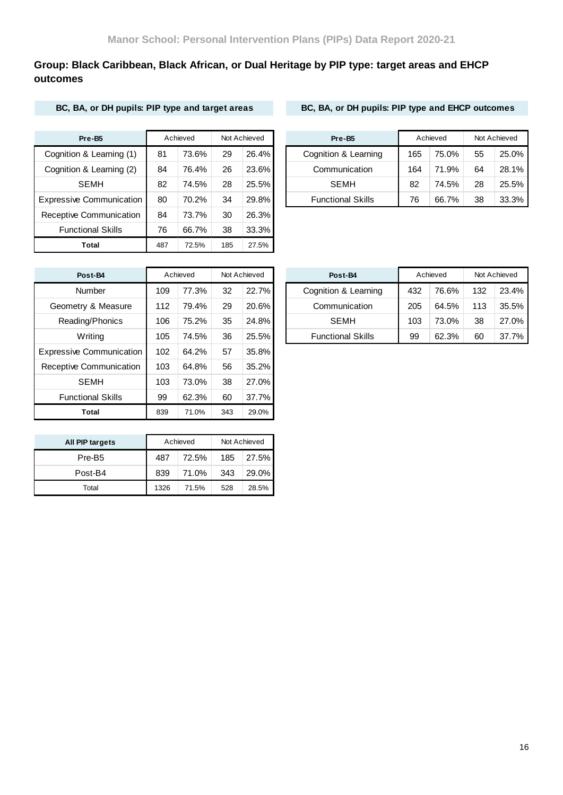## **Group: Black Caribbean, Black African, or Dual Heritage by PIP type: target areas and EHCP outcomes**

### **BC, BA, or DH pupils: PIP type and target areas BC, BA, or DH pupils: PIP type and EHCP outcomes**

| Pre-B5                          |     | Achieved |     | Not Achieved |
|---------------------------------|-----|----------|-----|--------------|
| Cognition & Learning (1)        | 81  | 73.6%    | 29  | $26.4\%$     |
| Cognition & Learning (2)        | 84  | 76.4%    | 26  | 23.6%        |
| <b>SEMH</b>                     | 82  | 74.5%    | 28  | 25.5%        |
| <b>Expressive Communication</b> | 80  | 70.2%    | 34  | 29.8%        |
| Receptive Communication         | 84  | 73.7%    | 30  | 26.3%        |
| <b>Functional Skills</b>        | 76  | 66.7%    | 38  | 33.3%        |
| Total                           | 487 | 72.5%    | 185 | 27.5%        |

| Pre-B <sub>5</sub>       |    | Achieved |    | Not Achieved | Pre-B <sub>5</sub>       |     | Achieved |    | Not Achieved |
|--------------------------|----|----------|----|--------------|--------------------------|-----|----------|----|--------------|
| Cognition & Learning (1) | 81 | 73.6%    | 29 | 26.4%        | Cognition & Learning     | 165 | 75.0%    | 55 | $25.0\%$     |
| Cognition & Learning (2) | 84 | 76.4%    | 26 | 23.6%        | Communication            | 164 | 71.9%    | 64 | $28.1\%$     |
| <b>SEMH</b>              | 82 | 74.5%    | 28 | 25.5%        | <b>SEMH</b>              | 82  | 74.5%    | 28 | $25.5\%$     |
| xpressive Communication  | 80 | 70.2%    | 34 | 29.8%        | <b>Functional Skills</b> | 76  | 66.7%    | 38 | $33.3\%$     |

| Post-B4                         |     | Achieved |     | Not Achieved | Post-B4             |
|---------------------------------|-----|----------|-----|--------------|---------------------|
| Number                          | 109 | 77.3%    | 32  | 22.7%        | Cognition & Le      |
| Geometry & Measure              | 112 | 79.4%    | 29  | 20.6%        | Communica           |
| Reading/Phonics                 | 106 | 75.2%    | 35  | 24.8%        | SEMH                |
| Writing                         | 105 | 74.5%    | 36  | 25.5%        | <b>Functional S</b> |
| <b>Expressive Communication</b> | 102 | 64.2%    | 57  | 35.8%        |                     |
| Receptive Communication         | 103 | 64.8%    | 56  | 35.2%        |                     |
| <b>SEMH</b>                     | 103 | 73.0%    | 38  | 27.0%        |                     |
| <b>Functional Skills</b>        | 99  | 62.3%    | 60  | 37.7%        |                     |
| <b>Total</b>                    | 839 | 71.0%    | 343 | 29.0%        |                     |

| Post-B4            |     | Achieved |    | Not Achieved | Post-B4                  |     | Achieved |     | Not Achieved |
|--------------------|-----|----------|----|--------------|--------------------------|-----|----------|-----|--------------|
| Number             | 109 | 77.3%    | 32 | 22.7%        | Cognition & Learning     | 432 | 76.6%    | 132 | 23.4%        |
| Geometry & Measure | 112 | 79.4%    | 29 | 20.6%        | Communication            | 205 | 64.5%    | 113 | 35.5%        |
| Reading/Phonics    | 106 | 75.2%    | 35 | $24.8\%$     | <b>SEMH</b>              | 103 | 73.0%    | 38  | 27.0%        |
| Writing            | 105 | 74.5%    | 36 | 25.5%        | <b>Functional Skills</b> | 99  | 62.3%    | 60  | 37.7%        |
|                    |     |          |    |              |                          |     |          |     |              |

| All PIP targets    |      | Achieved |     | Not Achieved |
|--------------------|------|----------|-----|--------------|
| Pre-B <sub>5</sub> | 487  | 72.5%    | 185 | 27.5%        |
| Post-B4            | 839  | 71.0%    | 343 | 29.0%        |
| Total              | 1326 | 71.5%    | 528 | 28.5%        |